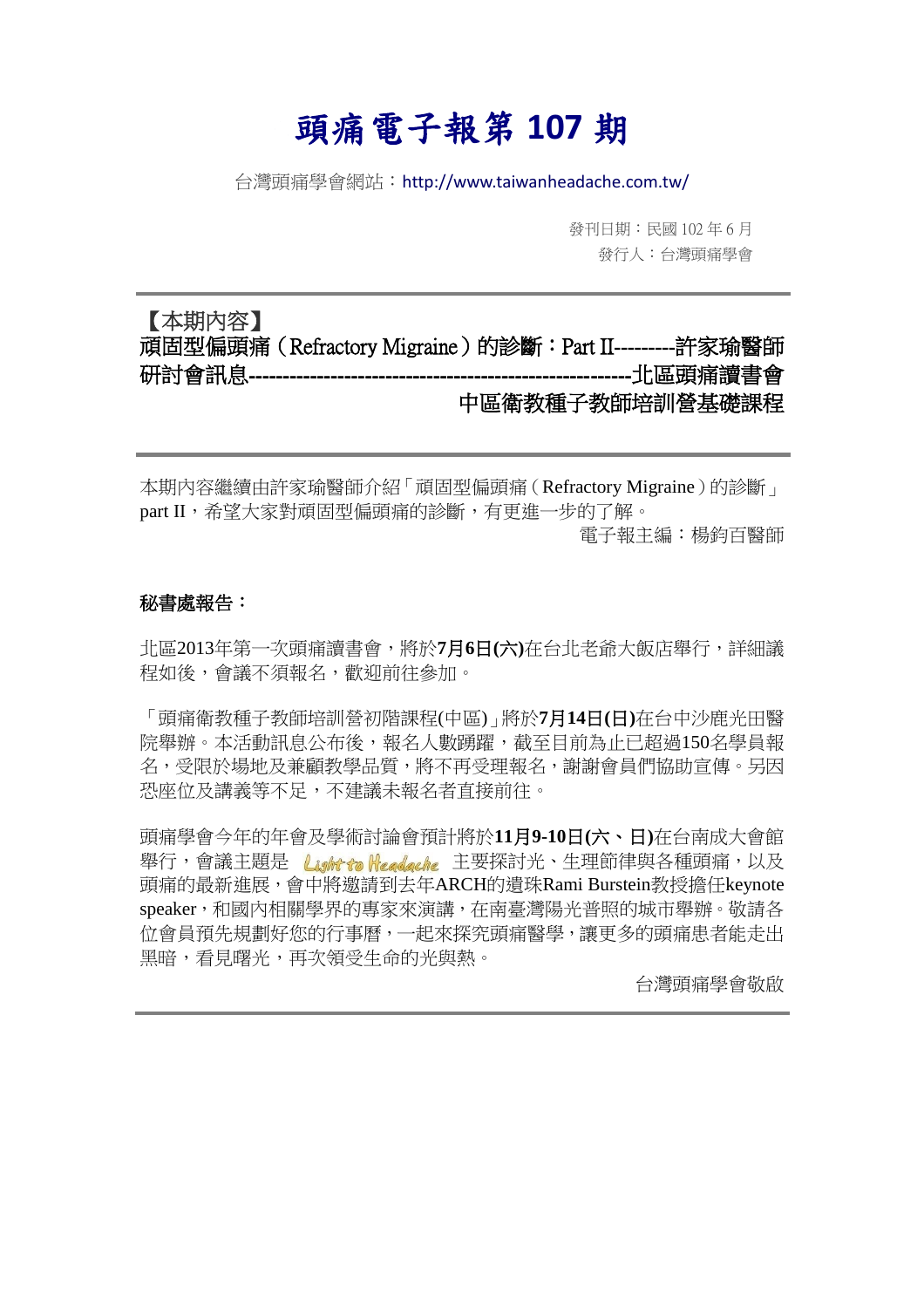# 頭痛電子報第 **107** 期

台灣頭痛學會網站:http://www.taiwanheadache.com.tw/

發刊日期:民國 102 年 6 月 發行人:台灣頭痛學會

## 【本期內容】 頑固型偏頭痛(Refractory Migraine)的診斷:Part II---------許家瑜醫師 研討會訊息--------------------------------------------------------北區頭痛讀書會 中區衛教種子教師培訓營基礎課程

本期內容繼續由許家瑜醫師介紹「頑固型偏頭痛(Refractory Migraine)的診斷」 part II,希望大家對頑固型偏頭痛的診斷,有更進一步的了解。 電子報主編:楊鈞百醫師

#### 秘書處報告:

北區2013年第一次頭痛讀書會,將於**7**月**6**日**(**六**)**在台北老爺大飯店舉行,詳細議 程如後,會議不須報名,歡迎前往參加。

「頭痛衛教種子教師培訓營初階課程(中區)」將於**7**月**14**日**(**日**)**在台中沙鹿光田醫 院舉辦。本活動訊息公布後,報名人數踴躍,截至目前為止已超過150名學員報 名,受限於場地及兼顧教學品質,將不再受理報名,謝謝會員們協助宣傳。另因 恐座位及講義等不足,不建議未報名者直接前往。

頭痛學會今年的年會及學術討論會預計將於**11**月**9-10**日**(**六、日**)**在台南成大會館 舉行,會議主題是 Lightta Headache 主要探討光、生理節律與各種頭痛,以及 頭痛的最新進展,會中將邀請到去年ARCH的遺珠Rami Burstein教授擔任keynote speaker,和國內相關學界的專家來演講,在南臺灣陽光普照的城市舉辦。敬請各 位會員預先規劃好您的行事曆,一起來探究頭痛醫學,讓更多的頭痛患者能走出 黑暗,看見曙光,再次領受生命的光與熱。

台灣頭痛學會敬啟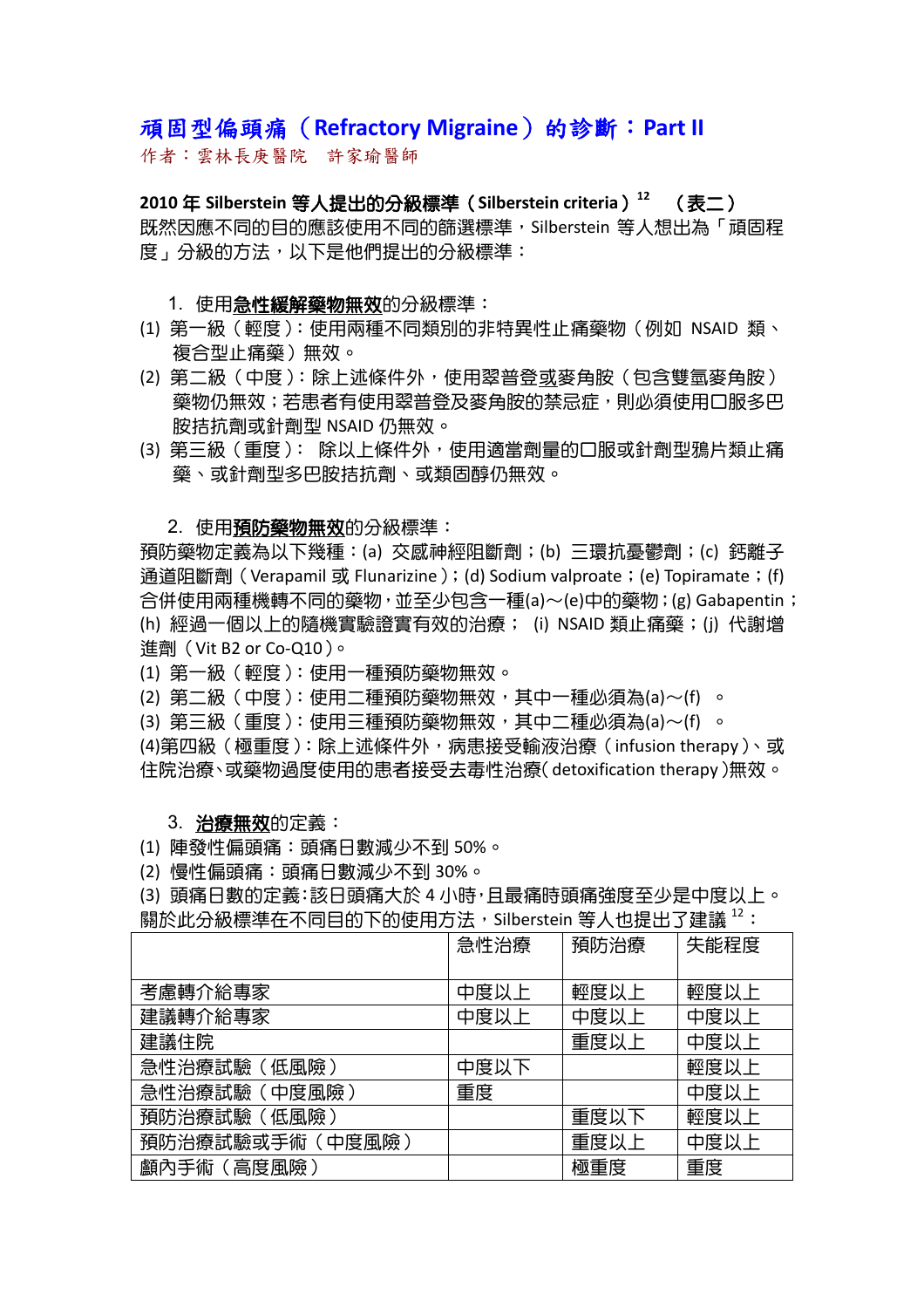### 頑固型偏頭痛(**Refractory Migraine**)的診斷:**Part II**

作者:雲林長庚醫院 許家瑜醫師

**2010** 年 **Silberstein** 等人提出的分級標準(**Silberstein criteria**)**<sup>12</sup>** (表二) 既然因應不同的目的應該使用不同的篩選標準,Silberstein 等人想出為「頑固程 度」分級的方法,以下是他們提出的分級標準:

#### 1. 使用**急性緩解藥物無效**的分級標準:

- (1) 第一級(輕度):使用兩種不同類別的非特異性止痛藥物(例如 NSAID 類、 複合型止痛藥)無效。
- (2) 第二級(中度):除上述條件外,使用翠普登或麥角胺(包含雙氫麥角胺) **鎏物仍無效;若患者有使用翠普登及麥角胺的禁忌症,則必須使用口服多巴** 胺拮抗劑或針劑型 NSAID 仍無效。
- (3) 第三級(重度): 除以上條件外,使用適當劑量的口服或針劑型鴉片類止痛 藥、或針劑型多巴胺拮抗劑、或類固醇仍無效。

#### 2. 使用預防藥物無效的分級標準:

預防藥物定義為以下幾種:(a) 交感神經阻斷劑;(b) 三環抗憂鬱劑;(c) 鈣離子 通道阻斷劑 ( Verapamil 或 Flunarizine ); (d) Sodium valproate; (e) Topiramate; (f) 合併使用兩種機轉不同的藥物,並至少包含一種(a)~(e)中的藥物;(g) Gabapentin; (h) 經過一個以上的隨機實驗證實有效的治療; (i) NSAID 類止痛藥;(j) 代謝增 進劑(Vit B2 or Co-Q10)。

- (1) 第一級(輕度):使用一種預防藥物無效。
- (2) 第二級(中度):使用二種預防藥物無效,其中一種必須為(a)~(f) 。
- (3) 第三級(重度):使用三種預防藥物無效,其中二種必須為(a)~(f) 。

(4)第四級 (極重度): 除上述條件外, 病患接受輸液治療 (infusion therapy)、或 住院治療、或藥物過度使用的患者接受去毒性治療(detoxification therapy)無效。

#### 3. 治療無效的定義:

- (1) 陣發性偏頭痛:頭痛日數減少不到 50%。
- (2) 慢性偏頭痛:頭痛日數減少不到 30%。

(3) 頭痛日數的定義:該日頭痛大於 4 小時,且最痛時頭痛強度至少是中度以上。 關於此分級標準在不同目的下的使用方法, Silberstein 等人也提出了建議 12:

|                  | 急性治療 | 預防治療 | 失能程度 |
|------------------|------|------|------|
|                  |      |      |      |
| 考慮轉介給專家          | 中度以上 | 輕度以上 | 輕度以上 |
| 建議轉介給專家          | 中度以上 | 中度以上 | 中度以上 |
| 建議住院             |      | 重度以上 | 中度以上 |
| 急性治療試驗 (低風險)     | 中度以下 |      | 輕度以上 |
| 急性治療試驗(中度風險)     | 重度   |      | 中度以上 |
| 預防治療試驗(低風險)      |      | 重度以下 | 輕度以上 |
| 預防治療試驗或手術 (中度風險) |      | 重度以上 | 中度以上 |
| 顱內手術(高度風險)       |      | 極重度  | 重度   |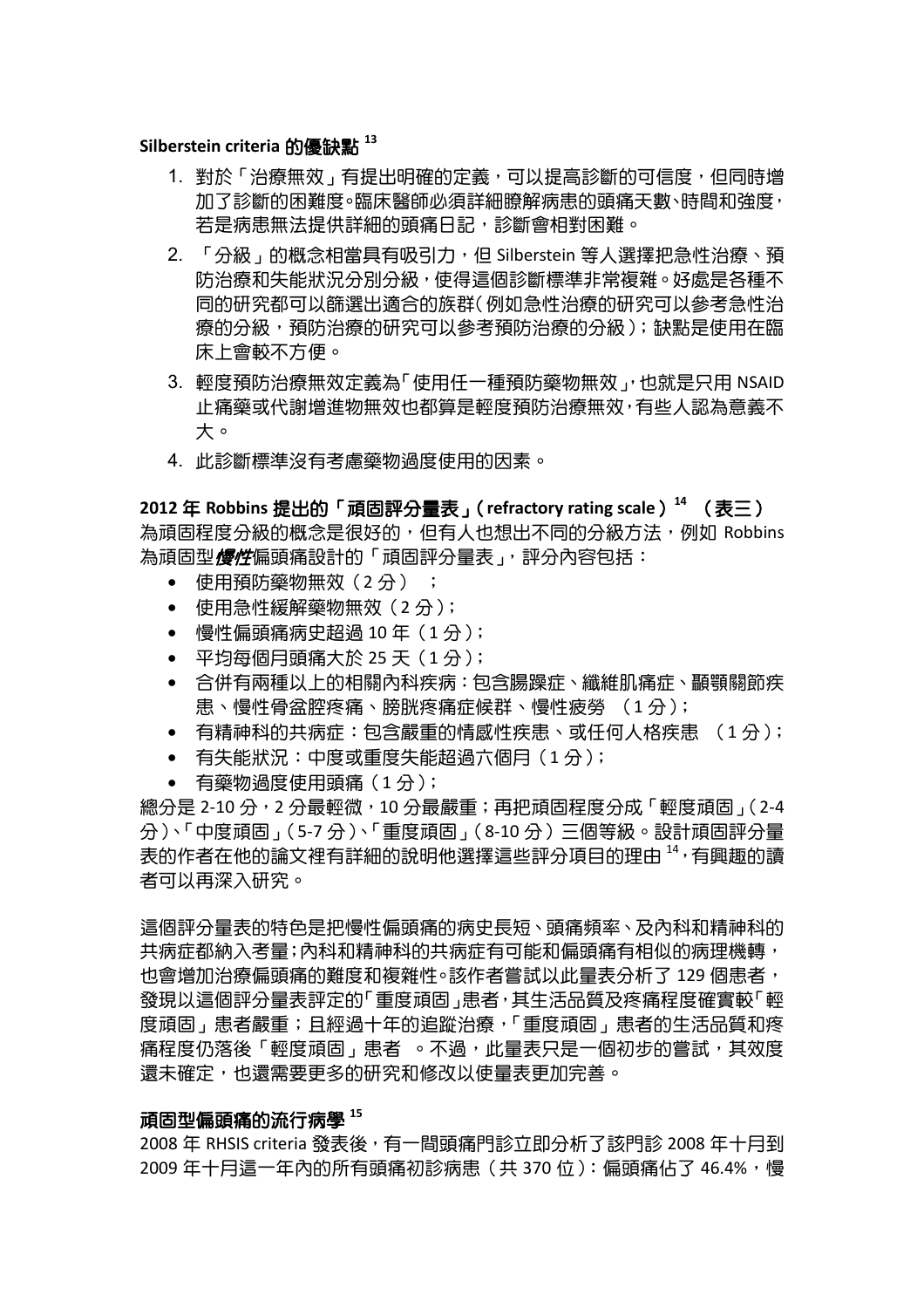#### **Silberstein criteria** 的優缺點 **<sup>13</sup>**

- 1. 對於「治療無效」有提出明確的定義,可以提高診斷的可信度,但同時增 加了診斷的困難度。臨床醫師必須詳細瞭解病患的頭痛天數、時間和強度, 若是病患無法提供詳細的頭痛日記,診斷會相對困難。
- 2. 「分級」的概念相常具有吸引力,但 Silberstein 等人選擇把急性治療、預 防治療和失能狀況分別分級,使得這個診斷標準非常複雜。好處是各種不 同的研究都可以篩選出適合的族群(例如急性治療的研究可以參考急性治 療的分級,預防治療的研究可以參考預防治療的分級 ); 缺點是使用在臨 床上會較不方便。
- 3. 輕度預防治療無效定義為「使用任一種預防藥物無效」,也就是只用 NSAID 止痛藥或代謝增進物無效也都算是輕度預防治療無效,有些人認為意義不 大。
- 4. 此診斷標準沒有考慮藥物過度使用的因素。

**2012** 年 **Robbins** 提出的「頑固評分量表」(**refractory rating scale**)**<sup>14</sup>** (表三) 為頑固程度分級的概念是很好的, 但有人也想出不同的分級方法, 例如 Robbins 為頑固型*慢性*偏頭痛設計的「頑固評分量表」,評分內容包括:

- 使用預防藥物無效(2 分) ;
- 使用急性緩解藥物無效(2 分);
- 慢性偏頭痛病史超過 10 年(1 分 );
- 平均每個月頭痛大於 25 天(1 分);
- 合併有兩種以上的相關內科疾病:包含腸躁症、纖維肌痛症、顳顎關節疾 患、慢性骨盆腔疼痛、膀胱疼痛症候群、慢性疲勞 (1 分);
- 有精神科的共病症:包含嚴重的情感性疾患、或任何人格疾患 (1 分);
- 有失能狀況:中度或重度失能超過六個月(1 分);
- 有藥物過度使用頭痛(1 分);

總分是 2-10 分,2 分最輕微,10 分最嚴重; 再把頑固程度分成 「輕度頑固」(2-4 分)、「中度頑固」(5-7 分)、「重度頑固」(8-10 分)三個等級。設計頑固評分量 表的作者在他的論文裡有詳細的說明他選擇這些評分項目的理由 <sup>14</sup>,有興趣的讀 者可以再深入研究。

這個評分量表的特色是把慢性偏頭痛的病史長短、頭痛頻率、及內科和精神科的 共病症都納入考量;內科和精神科的共病症有可能和偏頭痛有相似的病理機轉, 也會增加治療偏頭痛的難度和複雜性。該作者嘗試以此暈表分析了 129 個患者, 發現以這個評分量表評定的「重度頑固」患者,其生活品質及疼痛程度確實較「輕 度頑固」患者嚴重;且經過十年的追蹤治療,「重度頑固」患者的生活品質和疼 痛程度仍落後「輕度頑固」患者 。不過,此量表只是一個初步的嘗試,其效度 還未確定,也還需要更多的研究和修改以使量表更加完善。

#### 頑固型偏頭痛的流行病學 **<sup>15</sup>**

2008 年 RHSIS criteria 發表後,有一間頭痛門診立即分析了該門診 2008 年十月到 2009 年十月這一年內的所有頭痛初診病患 (共 370 位 ):偏頭痛佔了 46.4%,慢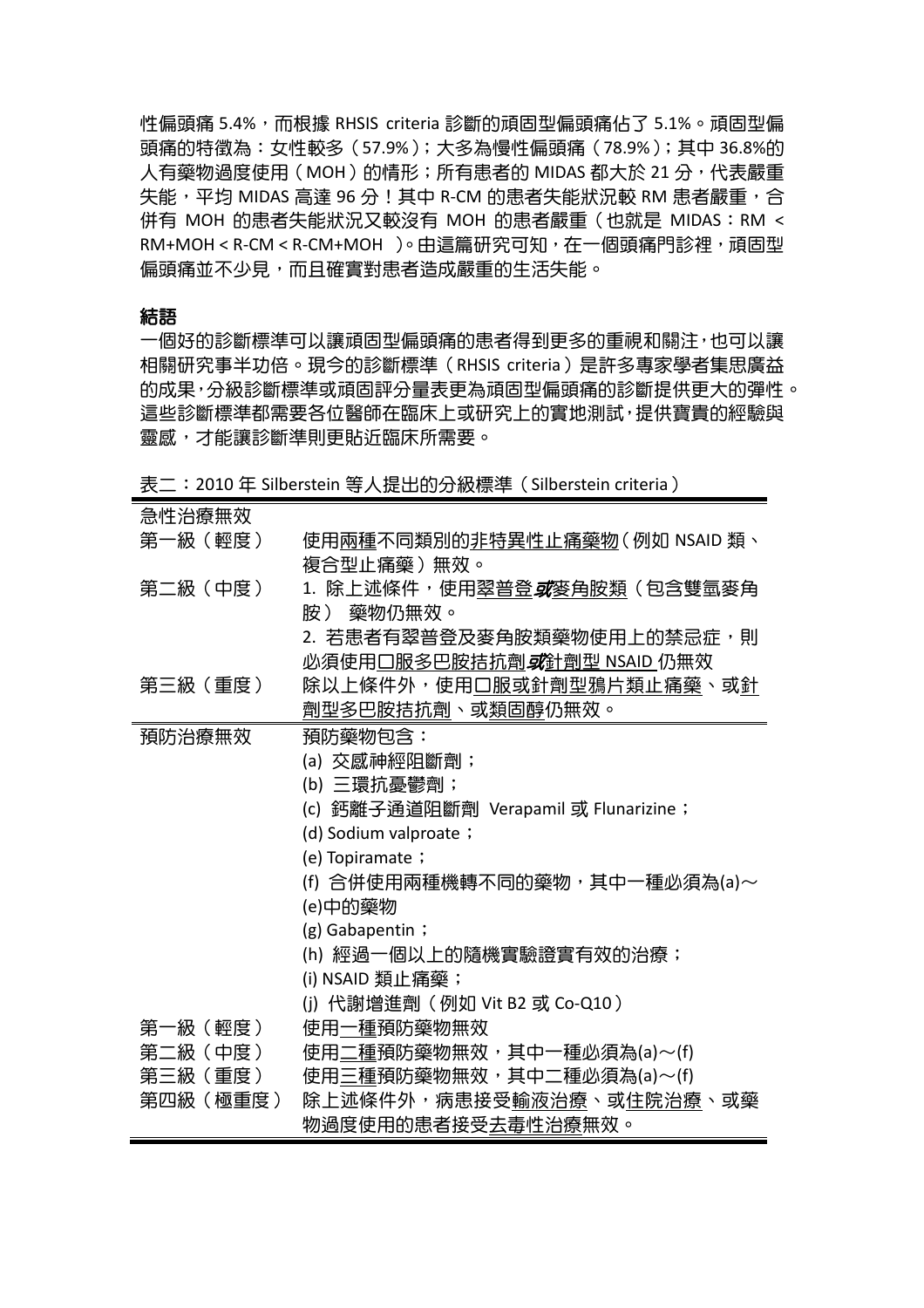性偏頭痛 5.4%,而根據 RHSIS criteria 診斷的頑固型偏頭痛佔了 5.1%。頑固型偏 頭痛的特徵為:女性較多(57.9%);大多為慢性偏頭痛(78.9%);其中 36.8%的 人有藥物過度使用 (MOH) 的情形;所有患者的 MIDAS 都大於 21 分,代表嚴重 失能,平均 MIDAS 高達 96 分!其中 R-CM 的患者失能狀況較 RM 患者嚴重,合 併有 MOH 的患者失能狀況又較沒有 MOH 的患者嚴重(也就是 MIDAS:RM < RM+MOH < R-CM < R-CM+MOH )。由這篇研究可知,在一個頭痛門診裡,頑固型 偏頭痛並不少見,而且確實對患者造成嚴重的生活失能。

#### 結語

一個好的診斷標準可以讓頑固型偏頭痛的患者得到更多的重視和關注,也可以讓 相關研究事半功倍。現今的診斷標準(RHSIS criteria)是許多專家學者集思廣益 的成果,分級診斷標準或頑固評分量表更為頑固型偏頭痛的診斷提供更大的彈性。 這些診斷標準都需要各位醫師在臨床上或研究上的實地測試,提供寶貴的經驗與 靈感,才能讓診斷準則更貼近臨床所需要。

表二: 2010 年 Silberstein 等人提出的分級標準 (Silberstein criteria)

| 急性治療無效   |                                                 |
|----------|-------------------------------------------------|
| 第一級(輕度)  | 使用 <u>兩種</u> 不同類別的 <u>非特異</u> 性止痛藥物(例如 NSAID 類、 |
|          | 複合型止痛藥 )無效。                                     |
| 第二級(中度)  | 1. 除上述條件,使用翠普登 <i>或</i> 麥角胺類(包含雙氫麥角             |
|          | 胺 ) 藥物仍無效。                                      |
|          | 2. 若患者有翠普登及麥角胺類藥物使用上的禁忌症,則                      |
|          | 必須使用口服多巴胺拮抗劑 <i>或</i> 針劑型 NSAID 仍無效             |
| 第三級(重度)  | 除以上條件外,使用口服或針劑型鴉片類止痛藥、或針                        |
|          | 劑型多巴胺拮抗劑、或類固醇仍無效。                               |
| 預防治療無效   | 預防藥物包含:                                         |
|          | (a) 交感神經阻斷劑;                                    |
|          | (b) 三環抗憂鬱劑;                                     |
|          | (c) 鈣離子通道阻斷劑 Verapamil 或 Flunarizine;           |
|          | (d) Sodium valproate ;                          |
|          | (e) Topiramate ;                                |
|          | (f) 合併使用兩種機轉不同的藥物,其中一種必須為(a)~                   |
|          | (e)中的藥物                                         |
|          | $(g)$ Gabapentin ;                              |
|          | (h) 經過一個以上的隨機實驗證實有效的治療;                         |
|          | (i) NSAID 類止痛藥;                                 |
|          | (j) 代謝增進劑 (例如 Vit B2 或 Co-Q10)                  |
| 第一級(輕度)  | 使用一種預防藥物無效                                      |
| 第二級(中度)  | 使用二種預防藥物無效,其中一種必須為(a)~(f)                       |
| 第三級(重度)  | 使用三種預防藥物無效,其中二種必須為(a)~(f)                       |
| 第四級(極重度) | 除上述條件外,病患接受輸液治療、或住院治療、或藥                        |
|          | 物過度使用的患者接受去毒性治療無效。                              |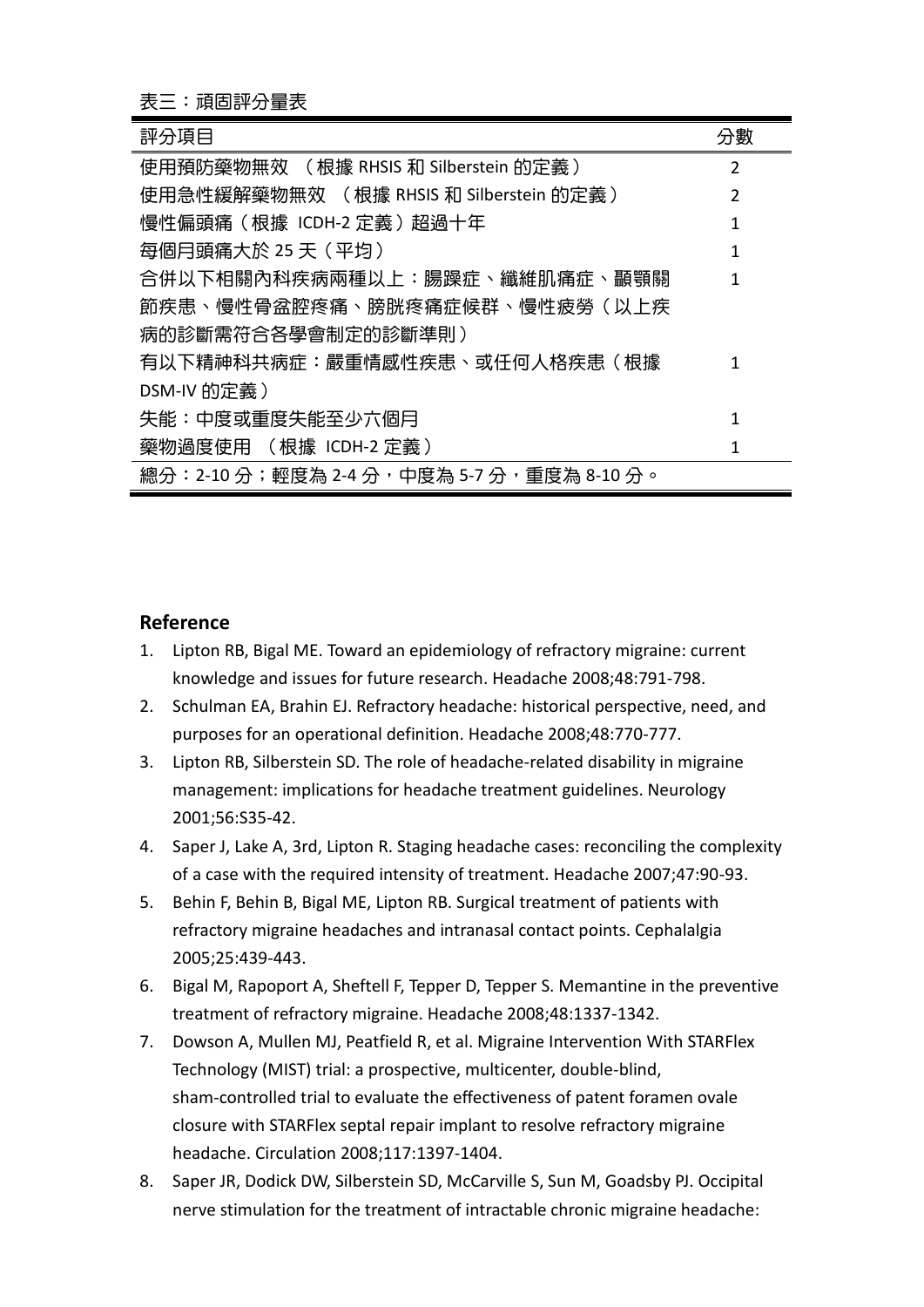| 評分項目                                      | 分數 |
|-------------------------------------------|----|
| 使用預防藥物無效 ( 根據 RHSIS 和 Silberstein 的定義 )   | 2  |
| 使用急性緩解藥物無效 ( 根據 RHSIS 和 Silberstein 的定義 ) | 2  |
| 慢性偏頭痛 (根據 ICDH-2 定義) 超過十年                 | 1  |
| 每個月頭痛大於 25 天(平均)                          | 1  |
| 合併以下相關內科疾病兩種以上:腸躁症、纖維肌痛症、顳顎關              | 1  |
| 節疾患、慢性骨盆腔疼痛、膀胱疼痛症候群、慢性疲勞(以上疾              |    |
| 病的診斷需符合各學會制定的診斷準則)                        |    |
| 有以下精神科共病症:嚴重情感性疾患、或任何人格疾患(根據              | 1  |
| DSM-IV 的定義)                               |    |
| 失能:中度或重度失能至少六個月                           | 1  |
| 藥物過度使用 (根據 ICDH-2 定義)                     | 1  |
| 總分:2-10 分;輕度為 2-4 分,中度為 5-7 分,重度為 8-10 分。 |    |

#### **Reference**

- 1. Lipton RB, Bigal ME. Toward an epidemiology of refractory migraine: current knowledge and issues for future research. Headache 2008;48:791-798.
- 2. Schulman EA, Brahin EJ. Refractory headache: historical perspective, need, and purposes for an operational definition. Headache 2008;48:770-777.
- 3. Lipton RB, Silberstein SD. The role of headache-related disability in migraine management: implications for headache treatment guidelines. Neurology 2001;56:S35-42.
- 4. Saper J, Lake A, 3rd, Lipton R. Staging headache cases: reconciling the complexity of a case with the required intensity of treatment. Headache 2007;47:90-93.
- 5. Behin F, Behin B, Bigal ME, Lipton RB. Surgical treatment of patients with refractory migraine headaches and intranasal contact points. Cephalalgia 2005;25:439-443.
- 6. Bigal M, Rapoport A, Sheftell F, Tepper D, Tepper S. Memantine in the preventive treatment of refractory migraine. Headache 2008;48:1337-1342.
- 7. Dowson A, Mullen MJ, Peatfield R, et al. Migraine Intervention With STARFlex Technology (MIST) trial: a prospective, multicenter, double-blind, sham-controlled trial to evaluate the effectiveness of patent foramen ovale closure with STARFlex septal repair implant to resolve refractory migraine headache. Circulation 2008;117:1397-1404.
- 8. Saper JR, Dodick DW, Silberstein SD, McCarville S, Sun M, Goadsby PJ. Occipital nerve stimulation for the treatment of intractable chronic migraine headache: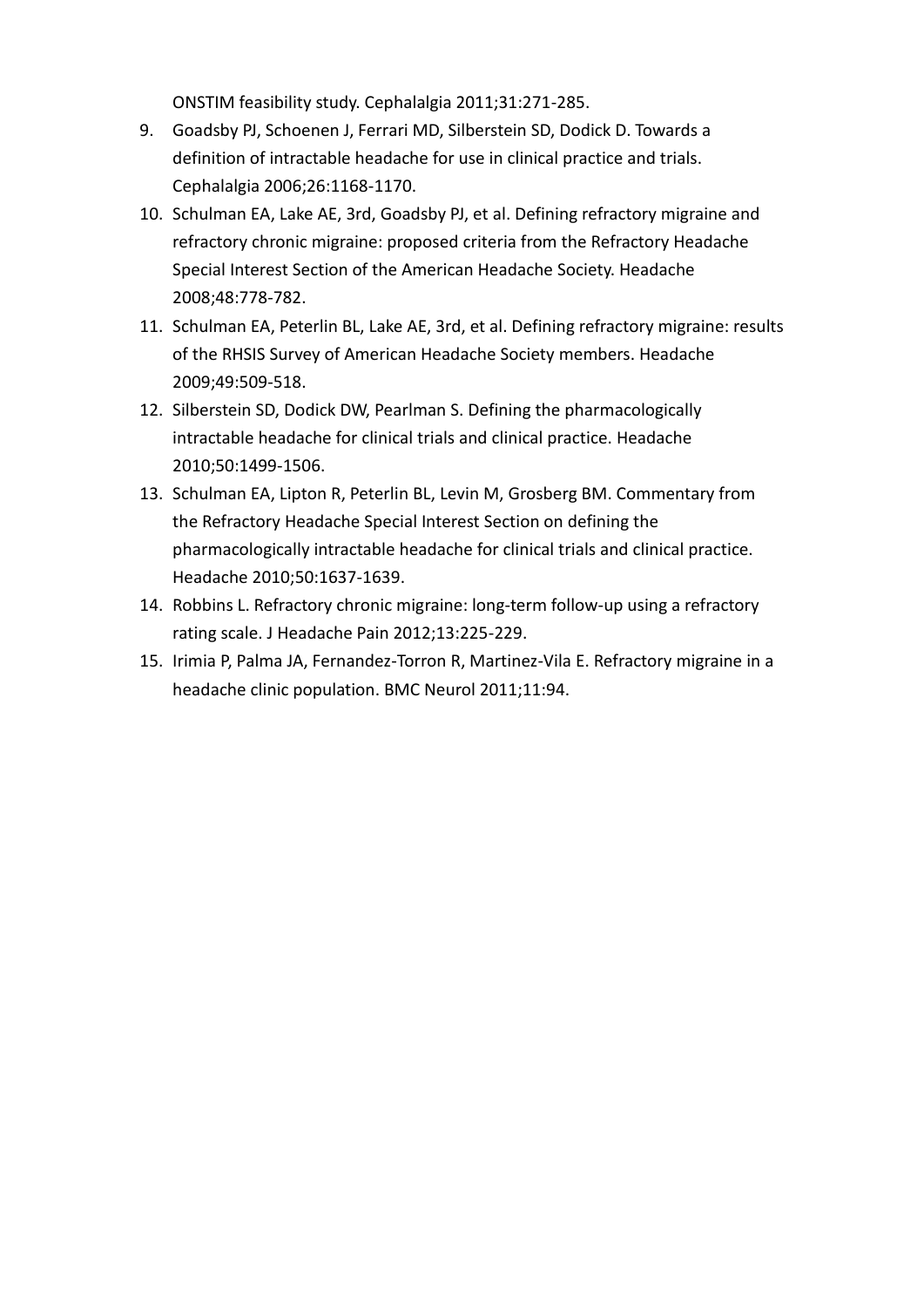ONSTIM feasibility study. Cephalalgia 2011;31:271-285.

- 9. Goadsby PJ, Schoenen J, Ferrari MD, Silberstein SD, Dodick D. Towards a definition of intractable headache for use in clinical practice and trials. Cephalalgia 2006;26:1168-1170.
- 10. Schulman EA, Lake AE, 3rd, Goadsby PJ, et al. Defining refractory migraine and refractory chronic migraine: proposed criteria from the Refractory Headache Special Interest Section of the American Headache Society. Headache 2008;48:778-782.
- 11. Schulman EA, Peterlin BL, Lake AE, 3rd, et al. Defining refractory migraine: results of the RHSIS Survey of American Headache Society members. Headache 2009;49:509-518.
- 12. Silberstein SD, Dodick DW, Pearlman S. Defining the pharmacologically intractable headache for clinical trials and clinical practice. Headache 2010;50:1499-1506.
- 13. Schulman EA, Lipton R, Peterlin BL, Levin M, Grosberg BM. Commentary from the Refractory Headache Special Interest Section on defining the pharmacologically intractable headache for clinical trials and clinical practice. Headache 2010;50:1637-1639.
- 14. Robbins L. Refractory chronic migraine: long-term follow-up using a refractory rating scale. J Headache Pain 2012;13:225-229.
- 15. Irimia P, Palma JA, Fernandez-Torron R, Martinez-Vila E. Refractory migraine in a headache clinic population. BMC Neurol 2011;11:94.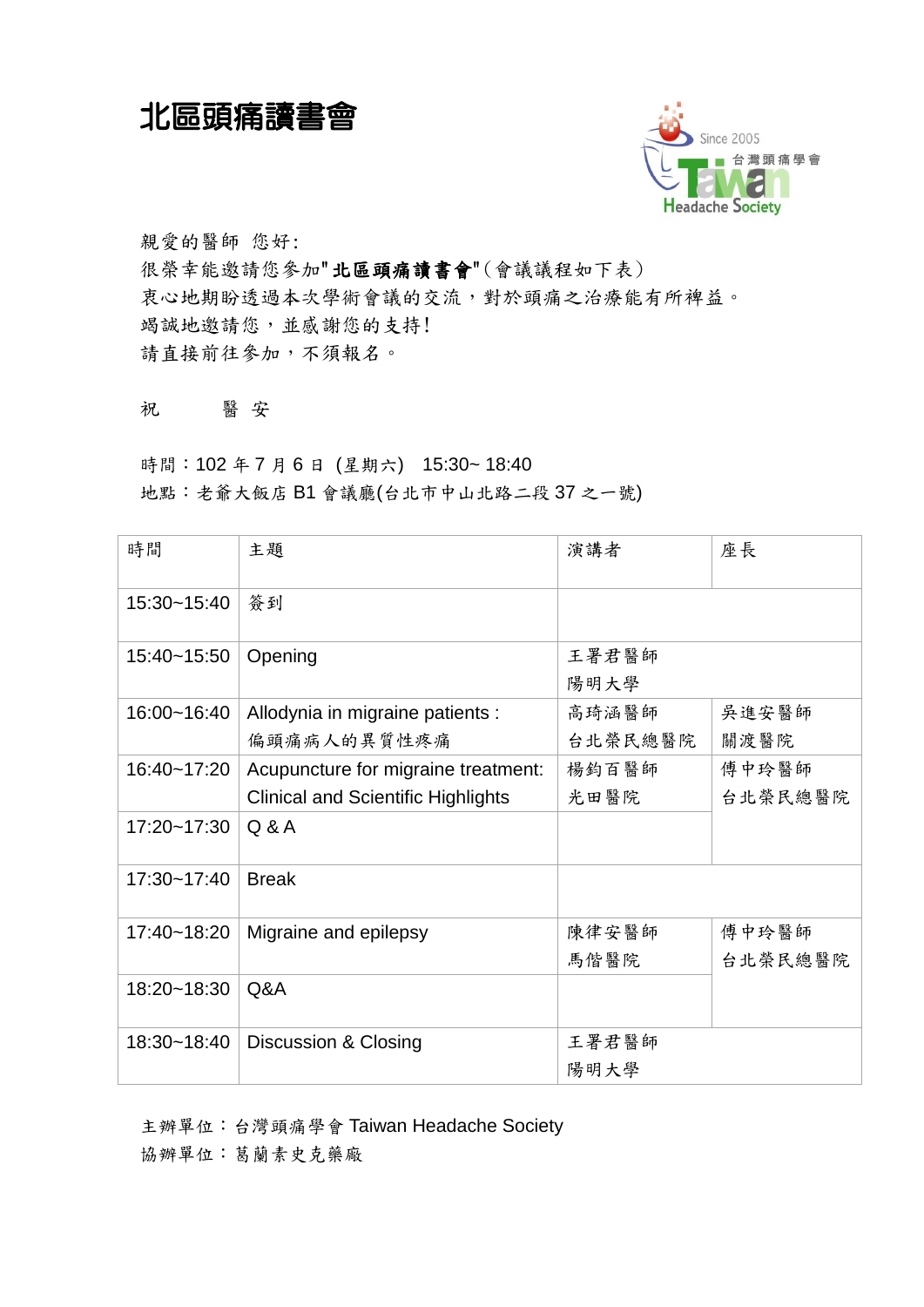北區頭痛讀書會



親愛的醫師 您好: 很榮幸能邀請您參加"北區頭痛讀書會"(會議議程如下表) 衷心地期盼透過本次學術會議的交流,對於頭痛之治療能有所裨益。 竭誠地邀請您,並感謝您的支持! 請直接前往參加,不須報名。

祝 醫 安

時間:102 年 7 月 6 日 (星期六) 15:30~ 18:40 地點:老爺大飯店 B1 會議廳(台北市中山北路二段 37 之一號)

| 時間          | 主題                                                                               | 演講者              | 座長               |
|-------------|----------------------------------------------------------------------------------|------------------|------------------|
| 15:30~15:40 | 簽到                                                                               |                  |                  |
| 15:40~15:50 | Opening                                                                          | 王署君醫師<br>陽明大學    |                  |
| 16:00~16:40 | Allodynia in migraine patients :<br>偏頭痛病人的異質性疼痛                                  | 高琦涵醫師<br>台北榮民總醫院 | 吳進安醫師<br>關渡醫院    |
| 16:40~17:20 | Acupuncture for migraine treatment:<br><b>Clinical and Scientific Highlights</b> | 楊鈞百醫師<br>光田醫院    | 傅中玲醫師<br>台北榮民總醫院 |
| 17:20~17:30 | Q & A                                                                            |                  |                  |
| 17:30~17:40 | <b>Break</b>                                                                     |                  |                  |
| 17:40~18:20 | Migraine and epilepsy                                                            | 陳律安醫師<br>馬偕醫院    | 傅中玲醫師<br>台北榮民總醫院 |
| 18:20~18:30 | Q&A                                                                              |                  |                  |
| 18:30~18:40 | Discussion & Closing                                                             | 王署君醫師<br>陽明大學    |                  |

主辦單位:台灣頭痛學會 Taiwan Headache Society 協辦單位:葛蘭素史克藥廠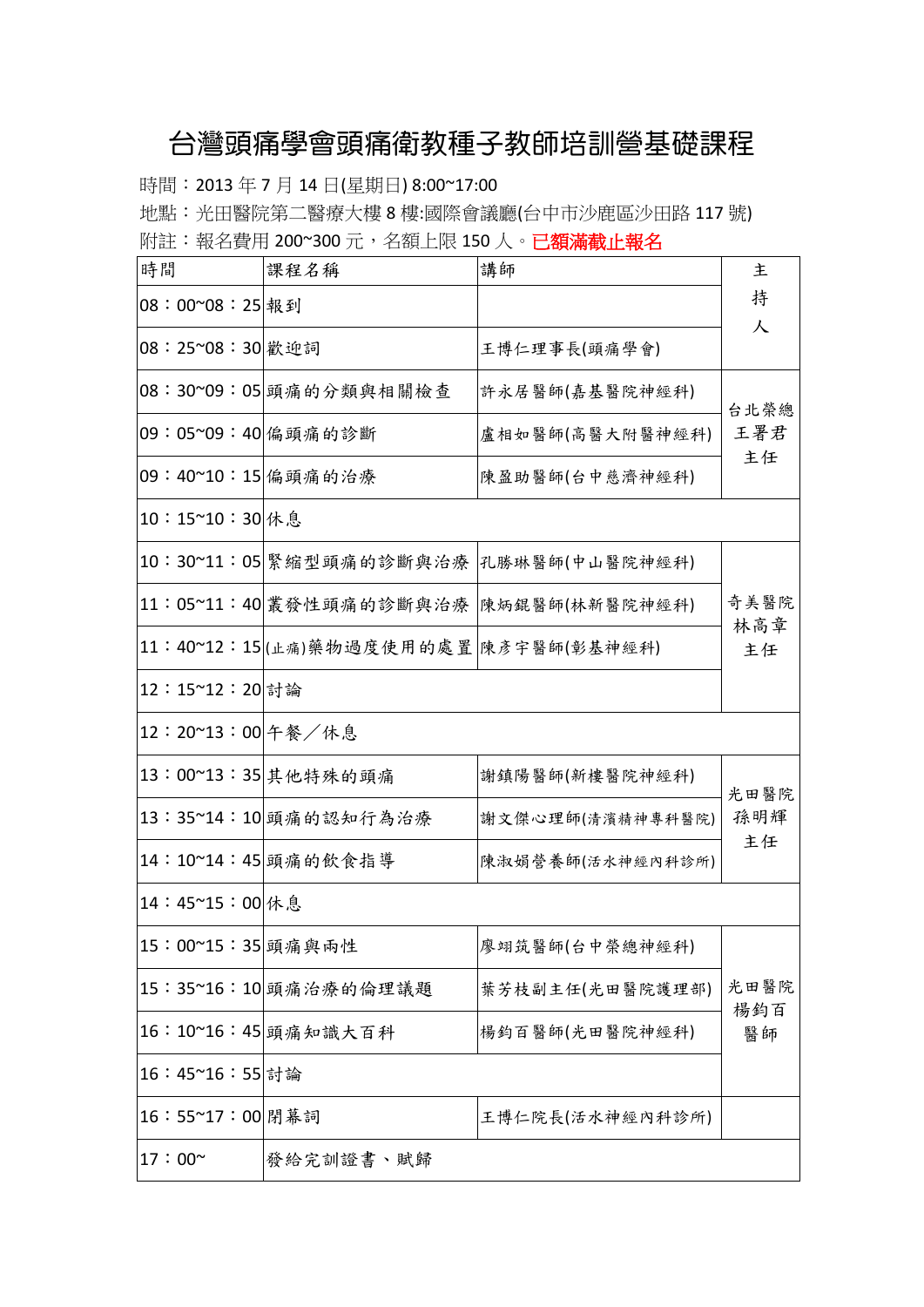## 台灣頭痛學會頭痛衛教種子教師培訓營基礎課程

時間: 2013年7月14日(星期日) 8:00~17:00

地點:光田醫院第二醫療大樓 8 樓:國際會議廳(台中市沙鹿區沙田路 117 號) 附註:報名費用 200~300元,名額上限 150人。已額滿截止報名

| 時間                 | 課程名稱                                   | 講師                                     | 主           |
|--------------------|----------------------------------------|----------------------------------------|-------------|
| 08:00~08:25 報到     |                                        |                                        | 持           |
| 08:25~08:30 歡迎詞    |                                        | 王博仁理事長(頭痛學會)                           | 人           |
|                    | 08:30~09:05 頭痛的分類與相關檢查                 | 許永居醫師(嘉基醫院神經科)                         | 台北榮總        |
| 09:05~09:40 偏頭痛的診斷 |                                        | 盧相如醫師(高醫大附醫神經科)                        | 王署君         |
| 09:40~10:15 偏頭痛的治療 |                                        | 陳盈助醫師(台中慈濟神經科)                         | 主任          |
| 10:15~10:30 休息     |                                        |                                        |             |
|                    | 10:30~11:05 緊縮型頭痛的診斷與治療                | 孔勝琳醫師(中山醫院神經科)                         |             |
|                    |                                        | 11:05~11:40 叢發性頭痛的診斷與治療 陳炳錕醫師(林新醫院神經科) | 奇美醫院<br>林高章 |
|                    | 11:40~12:15 (上痛)藥物過度使用的處置 陳彥宇醫師(彰基神經科) |                                        | 主任          |
| 12:15~12:20 討論     |                                        |                                        |             |
| 12:20~13:00 午餐/休息  |                                        |                                        |             |
|                    | 13:00~13:35 其他特殊的頭痛                    | 謝鎮陽醫師(新樓醫院神經科)                         | 光田醫院        |
|                    | 13:35~14:10 頭痛的認知行為治療                  | 謝文傑心理師(清濱精神專科醫院)                       | 孫明輝         |
|                    | 14:10~14:45 頭痛的飲食指導                    | 陳淑娟營養師(活水神經內科診所)                       | 主任          |
| 14:45~15:00 休息     |                                        |                                        |             |
| 15:00~15:35 頭痛與兩性  |                                        | 廖翊筑醫師(台中榮總神經科)                         |             |
|                    | 15:35~16:10 頭痛治療的倫理議題                  | 葉芳枝副主任(光田醫院護理部)                        | 光田醫院        |
|                    | 16:10~16:45 頭痛知識大百科                    | 楊鈞百醫師(光田醫院神經科)                         | 楊鈞百<br>醫師   |
| 16:45~16:55 討論     |                                        |                                        |             |
| 16:55~17:00 閉幕詞    |                                        | 王博仁院長(活水神經內科診所)                        |             |
| $17:00^{\sim}$     | 發給完訓證書、賦歸                              |                                        |             |